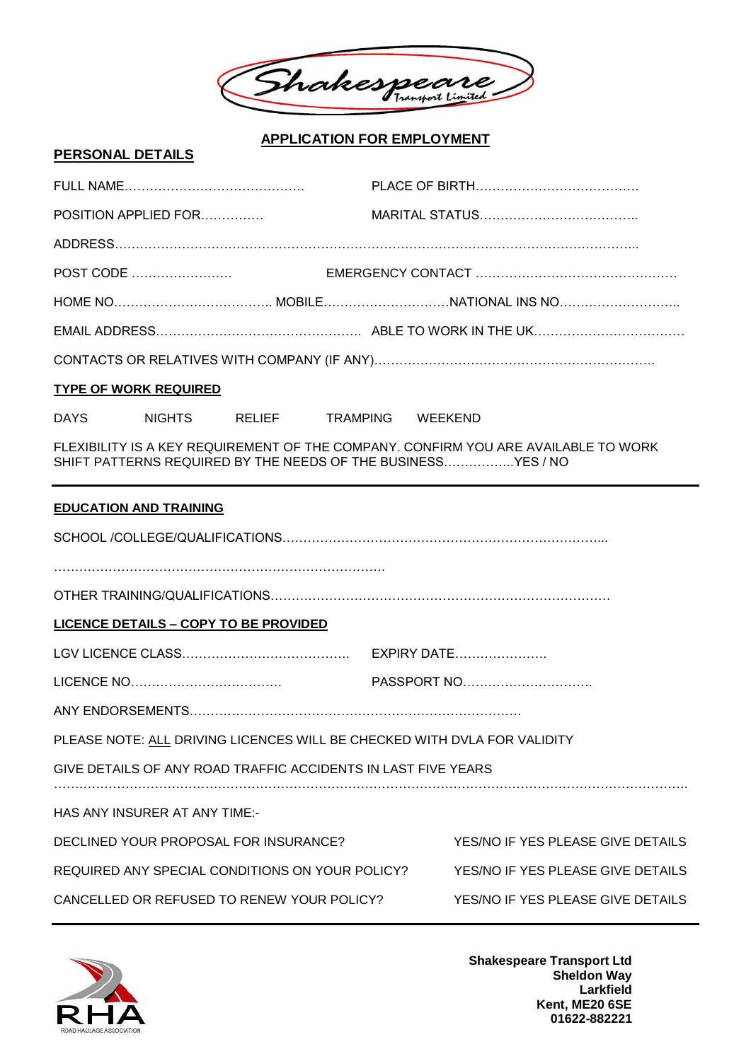

## **APPLICATION FOR EMPLOYMENT**

## **PERSONAL DETAILS**

| <b>TYPE OF WORK REQUIRED</b>                                                                                                                       |                  |                                   |  |
|----------------------------------------------------------------------------------------------------------------------------------------------------|------------------|-----------------------------------|--|
| <b>DAYS</b><br><b>NIGHTS</b><br>RELIEF                                                                                                             | TRAMPING WEEKEND |                                   |  |
| FLEXIBILITY IS A KEY REQUIREMENT OF THE COMPANY. CONFIRM YOU ARE AVAILABLE TO WORK<br>SHIFT PATTERNS REQUIRED BY THE NEEDS OF THE BUSINESSYES / NO |                  |                                   |  |
| <b>EDUCATION AND TRAINING</b>                                                                                                                      |                  |                                   |  |
|                                                                                                                                                    |                  |                                   |  |
|                                                                                                                                                    |                  |                                   |  |
|                                                                                                                                                    |                  |                                   |  |
| <b>LICENCE DETAILS - COPY TO BE PROVIDED</b>                                                                                                       |                  |                                   |  |
|                                                                                                                                                    |                  |                                   |  |
|                                                                                                                                                    |                  |                                   |  |
|                                                                                                                                                    |                  |                                   |  |
| PLEASE NOTE: ALL DRIVING LICENCES WILL BE CHECKED WITH DVLA FOR VALIDITY                                                                           |                  |                                   |  |
| GIVE DETAILS OF ANY ROAD TRAFFIC ACCIDENTS IN LAST FIVE YEARS                                                                                      |                  |                                   |  |
| HAS ANY INSURER AT ANY TIME:-                                                                                                                      |                  |                                   |  |
| DECLINED YOUR PROPOSAL FOR INSURANCE?                                                                                                              |                  | YES/NO IF YES PLEASE GIVE DETAILS |  |
| REQUIRED ANY SPECIAL CONDITIONS ON YOUR POLICY?                                                                                                    |                  | YES/NO IF YES PLEASE GIVE DETAILS |  |
| CANCELLED OR REFUSED TO RENEW YOUR POLICY?                                                                                                         |                  | YES/NO IF YES PLEASE GIVE DETAILS |  |



**Shakespeare Transport Ltd Sheldon Way Larkfield Kent, ME20 6SE 01622-882221**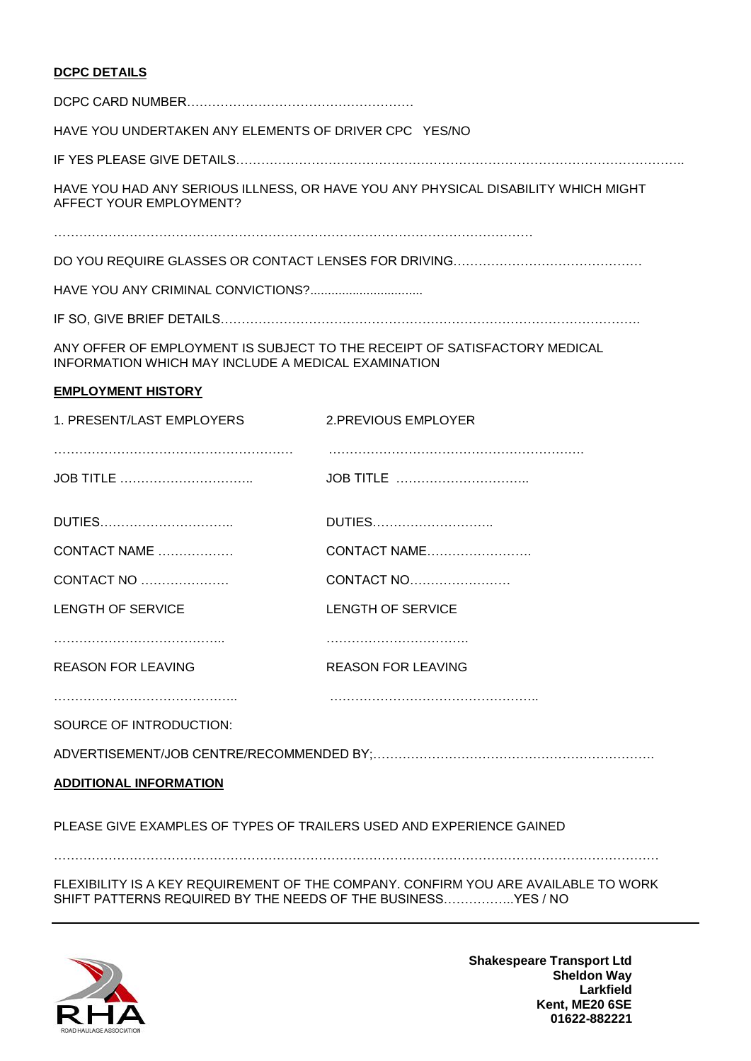## **DCPC DETAILS**

| HAVE YOU UNDERTAKEN ANY ELEMENTS OF DRIVER CPC YES/NO                                                                            |                                                                                   |  |  |
|----------------------------------------------------------------------------------------------------------------------------------|-----------------------------------------------------------------------------------|--|--|
|                                                                                                                                  |                                                                                   |  |  |
| AFFECT YOUR EMPLOYMENT?                                                                                                          | HAVE YOU HAD ANY SERIOUS ILLNESS, OR HAVE YOU ANY PHYSICAL DISABILITY WHICH MIGHT |  |  |
|                                                                                                                                  |                                                                                   |  |  |
|                                                                                                                                  |                                                                                   |  |  |
|                                                                                                                                  |                                                                                   |  |  |
| ANY OFFER OF EMPLOYMENT IS SUBJECT TO THE RECEIPT OF SATISFACTORY MEDICAL<br>INFORMATION WHICH MAY INCLUDE A MEDICAL EXAMINATION |                                                                                   |  |  |
| <b>EMPLOYMENT HISTORY</b>                                                                                                        |                                                                                   |  |  |
| 1. PRESENT/LAST EMPLOYERS                                                                                                        | 2.PREVIOUS EMPLOYER                                                               |  |  |
|                                                                                                                                  |                                                                                   |  |  |
|                                                                                                                                  | JOB TITLE                                                                         |  |  |
| DUTIES                                                                                                                           | DUTIES                                                                            |  |  |
| CONTACT NAME                                                                                                                     | CONTACT NAME                                                                      |  |  |
| CONTACT NO                                                                                                                       | CONTACT NO                                                                        |  |  |
| LENGTH OF SERVICE                                                                                                                | <b>LENGTH OF SERVICE</b>                                                          |  |  |
|                                                                                                                                  |                                                                                   |  |  |
| <b>REASON FOR LEAVING</b>                                                                                                        | <b>REASON FOR LEAVING</b>                                                         |  |  |
|                                                                                                                                  |                                                                                   |  |  |
| SOURCE OF INTRODUCTION:                                                                                                          |                                                                                   |  |  |
|                                                                                                                                  |                                                                                   |  |  |
| <b>ADDITIONAL INFORMATION</b>                                                                                                    |                                                                                   |  |  |
| PLEASE GIVE EXAMPLES OF TYPES OF TRAILERS USED AND EXPERIENCE GAINED                                                             |                                                                                   |  |  |
|                                                                                                                                  |                                                                                   |  |  |

FLEXIBILITY IS A KEY REQUIREMENT OF THE COMPANY. CONFIRM YOU ARE AVAILABLE TO WORK SHIFT PATTERNS REQUIRED BY THE NEEDS OF THE BUSINESS……………..YES / NO



**Shakespeare Transport Ltd Sheldon Way Larkfield Kent, ME20 6SE 01622-882221**